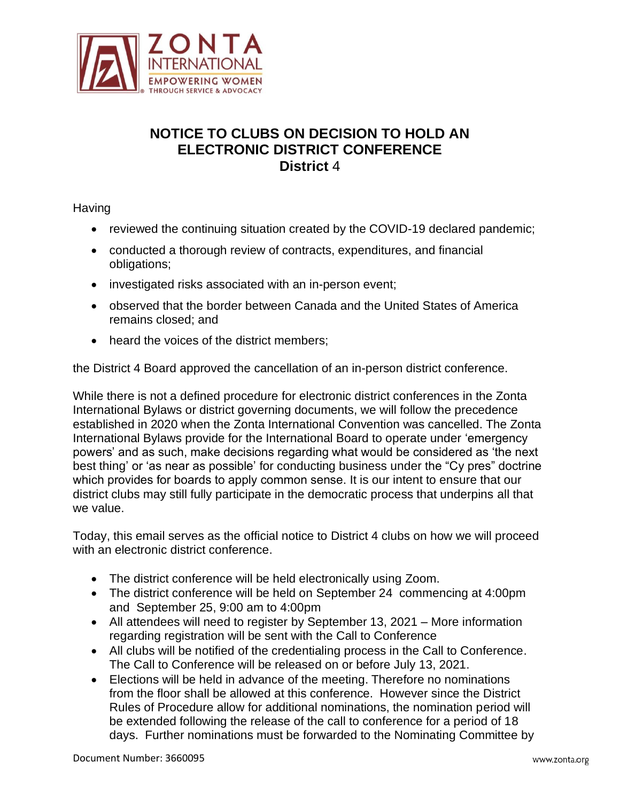

## **NOTICE TO CLUBS ON DECISION TO HOLD AN ELECTRONIC DISTRICT CONFERENCE District** 4

**Having** 

- reviewed the continuing situation created by the COVID-19 declared pandemic;
- conducted a thorough review of contracts, expenditures, and financial obligations;
- investigated risks associated with an in-person event;
- observed that the border between Canada and the United States of America remains closed; and
- heard the voices of the district members;

the District 4 Board approved the cancellation of an in-person district conference.

While there is not a defined procedure for electronic district conferences in the Zonta International Bylaws or district governing documents, we will follow the precedence established in 2020 when the Zonta International Convention was cancelled. The Zonta International Bylaws provide for the International Board to operate under 'emergency powers' and as such, make decisions regarding what would be considered as 'the next best thing' or 'as near as possible' for conducting business under the "Cy pres" doctrine which provides for boards to apply common sense. It is our intent to ensure that our district clubs may still fully participate in the democratic process that underpins all that we value.

Today, this email serves as the official notice to District 4 clubs on how we will proceed with an electronic district conference.

- The district conference will be held electronically using Zoom.
- The district conference will be held on September 24 commencing at 4:00pm and September 25, 9:00 am to 4:00pm
- All attendees will need to register by September 13, 2021 More information regarding registration will be sent with the Call to Conference
- All clubs will be notified of the credentialing process in the Call to Conference. The Call to Conference will be released on or before July 13, 2021.
- Elections will be held in advance of the meeting. Therefore no nominations from the floor shall be allowed at this conference. However since the District Rules of Procedure allow for additional nominations, the nomination period will be extended following the release of the call to conference for a period of 18 days. Further nominations must be forwarded to the Nominating Committee by